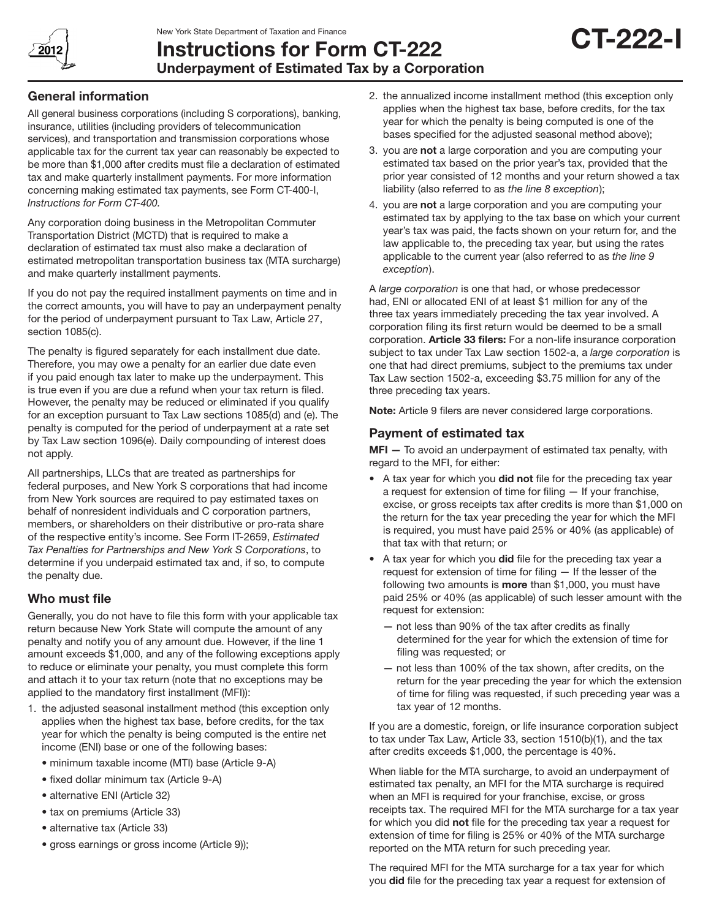New York State Department of Taxation and Finance



# Instructions for Form CT-222 Underpayment of Estimated Tax by a Corporation

# General information

All general business corporations (including S corporations), banking, insurance, utilities (including providers of telecommunication services), and transportation and transmission corporations whose applicable tax for the current tax year can reasonably be expected to be more than \$1,000 after credits must file a declaration of estimated tax and make quarterly installment payments. For more information concerning making estimated tax payments, see Form CT-400-I, *Instructions for Form CT-400.*

Any corporation doing business in the Metropolitan Commuter Transportation District (MCTD) that is required to make a declaration of estimated tax must also make a declaration of estimated metropolitan transportation business tax (MTA surcharge) and make quarterly installment payments.

If you do not pay the required installment payments on time and in the correct amounts, you will have to pay an underpayment penalty for the period of underpayment pursuant to Tax Law, Article 27, section 1085(c).

The penalty is figured separately for each installment due date. Therefore, you may owe a penalty for an earlier due date even if you paid enough tax later to make up the underpayment. This is true even if you are due a refund when your tax return is filed. However, the penalty may be reduced or eliminated if you qualify for an exception pursuant to Tax Law sections 1085(d) and (e). The penalty is computed for the period of underpayment at a rate set by Tax Law section 1096(e). Daily compounding of interest does not apply.

All partnerships, LLCs that are treated as partnerships for federal purposes, and New York S corporations that had income from New York sources are required to pay estimated taxes on behalf of nonresident individuals and C corporation partners, members, or shareholders on their distributive or pro-rata share of the respective entity's income. See Form IT-2659, *Estimated Tax Penalties for Partnerships and New York S Corporations*, to determine if you underpaid estimated tax and, if so, to compute the penalty due.

# Who must file

Generally, you do not have to file this form with your applicable tax return because New York State will compute the amount of any penalty and notify you of any amount due. However, if the line 1 amount exceeds \$1,000, and any of the following exceptions apply to reduce or eliminate your penalty, you must complete this form and attach it to your tax return (note that no exceptions may be applied to the mandatory first installment (MFI)):

- 1. the adjusted seasonal installment method (this exception only applies when the highest tax base, before credits, for the tax year for which the penalty is being computed is the entire net income (ENI) base or one of the following bases:
	- minimum taxable income (MTI) base (Article 9-A)
	- fixed dollar minimum tax (Article 9-A)
	- alternative ENI (Article 32)
	- tax on premiums (Article 33)
	- alternative tax (Article 33)
	- gross earnings or gross income (Article 9));

2. the annualized income installment method (this exception only applies when the highest tax base, before credits, for the tax year for which the penalty is being computed is one of the bases specified for the adjusted seasonal method above);

CT-222-I

- 3. you are not a large corporation and you are computing your estimated tax based on the prior year's tax, provided that the prior year consisted of 12 months and your return showed a tax liability (also referred to as *the line 8 exception*);
- 4. you are not a large corporation and you are computing your estimated tax by applying to the tax base on which your current year's tax was paid, the facts shown on your return for, and the law applicable to, the preceding tax year, but using the rates applicable to the current year (also referred to as *the line 9 exception*).

A *large corporation* is one that had, or whose predecessor had, ENI or allocated ENI of at least \$1 million for any of the three tax years immediately preceding the tax year involved. A corporation filing its first return would be deemed to be a small corporation. Article 33 filers: For a non-life insurance corporation subject to tax under Tax Law section 1502-a, a *large corporation* is one that had direct premiums, subject to the premiums tax under Tax Law section 1502-a, exceeding \$3.75 million for any of the three preceding tax years.

Note: Article 9 filers are never considered large corporations.

# Payment of estimated tax

MFI - To avoid an underpayment of estimated tax penalty, with regard to the MFI, for either:

- A tax year for which you did not file for the preceding tax year a request for extension of time for filing — If your franchise, excise, or gross receipts tax after credits is more than \$1,000 on the return for the tax year preceding the year for which the MFI is required, you must have paid 25% or 40% (as applicable) of that tax with that return; or
- A tax year for which you did file for the preceding tax year a request for extension of time for filing — If the lesser of the following two amounts is **more** than \$1,000, you must have paid 25% or 40% (as applicable) of such lesser amount with the request for extension:
	- not less than 90% of the tax after credits as finally determined for the year for which the extension of time for filing was requested; or
	- not less than 100% of the tax shown, after credits, on the return for the year preceding the year for which the extension of time for filing was requested, if such preceding year was a tax year of 12 months.

If you are a domestic, foreign, or life insurance corporation subject to tax under Tax Law, Article 33, section 1510(b)(1), and the tax after credits exceeds \$1,000, the percentage is 40%.

When liable for the MTA surcharge, to avoid an underpayment of estimated tax penalty, an MFI for the MTA surcharge is required when an MFI is required for your franchise, excise, or gross receipts tax. The required MFI for the MTA surcharge for a tax year for which you did not file for the preceding tax year a request for extension of time for filing is 25% or 40% of the MTA surcharge reported on the MTA return for such preceding year.

The required MFI for the MTA surcharge for a tax year for which you did file for the preceding tax year a request for extension of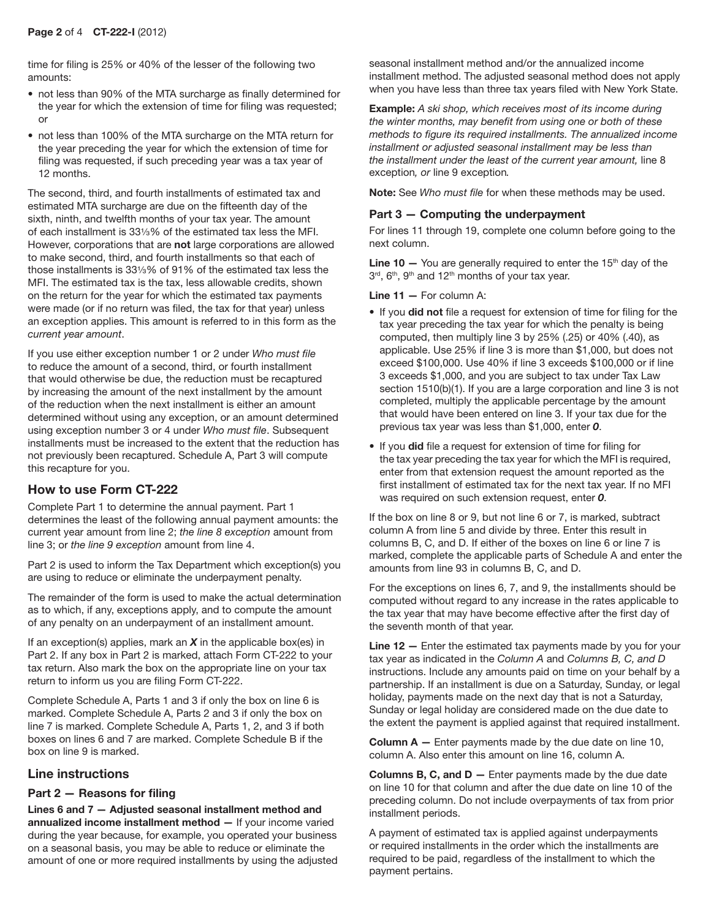time for filing is 25% or 40% of the lesser of the following two amounts:

- not less than 90% of the MTA surcharge as finally determined for the year for which the extension of time for filing was requested; or
- not less than 100% of the MTA surcharge on the MTA return for the year preceding the year for which the extension of time for filing was requested, if such preceding year was a tax year of 12 months.

The second, third, and fourth installments of estimated tax and estimated MTA surcharge are due on the fifteenth day of the sixth, ninth, and twelfth months of your tax year. The amount of each installment is 331/<sub>3</sub>% of the estimated tax less the MFI. However, corporations that are not large corporations are allowed to make second, third, and fourth installments so that each of those installments is  $33\frac{1}{8}$ % of 91% of the estimated tax less the MFI. The estimated tax is the tax, less allowable credits, shown on the return for the year for which the estimated tax payments were made (or if no return was filed, the tax for that year) unless an exception applies. This amount is referred to in this form as the *current year amount*.

If you use either exception number 1 or 2 under *Who must file* to reduce the amount of a second, third, or fourth installment that would otherwise be due, the reduction must be recaptured by increasing the amount of the next installment by the amount of the reduction when the next installment is either an amount determined without using any exception, or an amount determined using exception number 3 or 4 under *Who must file*. Subsequent installments must be increased to the extent that the reduction has not previously been recaptured. Schedule A, Part 3 will compute this recapture for you.

# How to use Form CT-222

Complete Part 1 to determine the annual payment. Part 1 determines the least of the following annual payment amounts: the current year amount from line 2; *the line 8 exception* amount from line 3; or *the line 9 exception* amount from line 4.

Part 2 is used to inform the Tax Department which exception(s) you are using to reduce or eliminate the underpayment penalty.

The remainder of the form is used to make the actual determination as to which, if any, exceptions apply, and to compute the amount of any penalty on an underpayment of an installment amount.

If an exception(s) applies, mark an *X* in the applicable box(es) in Part 2. If any box in Part 2 is marked, attach Form CT-222 to your tax return. Also mark the box on the appropriate line on your tax return to inform us you are filing Form CT-222.

Complete Schedule A, Parts 1 and 3 if only the box on line 6 is marked. Complete Schedule A, Parts 2 and 3 if only the box on line 7 is marked. Complete Schedule A, Parts 1, 2, and 3 if both boxes on lines 6 and 7 are marked. Complete Schedule B if the box on line 9 is marked.

# Line instructions

## Part 2 — Reasons for filing

Lines 6 and 7 — Adjusted seasonal installment method and annualized income installment method — If your income varied during the year because, for example, you operated your business on a seasonal basis, you may be able to reduce or eliminate the amount of one or more required installments by using the adjusted seasonal installment method and/or the annualized income installment method. The adjusted seasonal method does not apply when you have less than three tax years filed with New York State.

Example: *A ski shop, which receives most of its income during the winter months, may benefit from using one or both of these methods to figure its required installments. The annualized income installment or adjusted seasonal installment may be less than the installment under the least of the current year amount,* line 8 exception*, or* line 9 exception*.*

Note: See *Who must file* for when these methods may be used.

## Part 3 — Computing the underpayment

For lines 11 through 19, complete one column before going to the next column.

**Line 10**  $-$  You are generally required to enter the 15<sup>th</sup> day of the 3rd, 6<sup>th</sup>, 9<sup>th</sup> and 12<sup>th</sup> months of your tax year.

**Line 11 – For column A:** 

- If you did not file a request for extension of time for filing for the tax year preceding the tax year for which the penalty is being computed, then multiply line 3 by 25% (.25) or 40% (.40), as applicable. Use 25% if line 3 is more than \$1,000, but does not exceed \$100,000. Use 40% if line 3 exceeds \$100,000 or if line 3 exceeds \$1,000, and you are subject to tax under Tax Law section 1510(b)(1). If you are a large corporation and line 3 is not completed, multiply the applicable percentage by the amount that would have been entered on line 3. If your tax due for the previous tax year was less than \$1,000, enter *0*.
- If you did file a request for extension of time for filing for the tax year preceding the tax year for which the MFI is required, enter from that extension request the amount reported as the first installment of estimated tax for the next tax year. If no MFI was required on such extension request, enter *0*.

If the box on line 8 or 9, but not line 6 or 7, is marked, subtract column A from line 5 and divide by three. Enter this result in columns B, C, and D. If either of the boxes on line 6 or line 7 is marked, complete the applicable parts of Schedule A and enter the amounts from line 93 in columns B, C, and D.

For the exceptions on lines 6, 7, and 9, the installments should be computed without regard to any increase in the rates applicable to the tax year that may have become effective after the first day of the seventh month of that year.

Line 12 – Enter the estimated tax payments made by you for your tax year as indicated in the *Column A* and *Columns B, C, and D*  instructions. Include any amounts paid on time on your behalf by a partnership. If an installment is due on a Saturday, Sunday, or legal holiday, payments made on the next day that is not a Saturday, Sunday or legal holiday are considered made on the due date to the extent the payment is applied against that required installment.

**Column A**  $-$  Enter payments made by the due date on line 10, column A. Also enter this amount on line 16, column A.

**Columns B, C, and D**  $-$  Enter payments made by the due date on line 10 for that column and after the due date on line 10 of the preceding column. Do not include overpayments of tax from prior installment periods.

A payment of estimated tax is applied against underpayments or required installments in the order which the installments are required to be paid, regardless of the installment to which the payment pertains.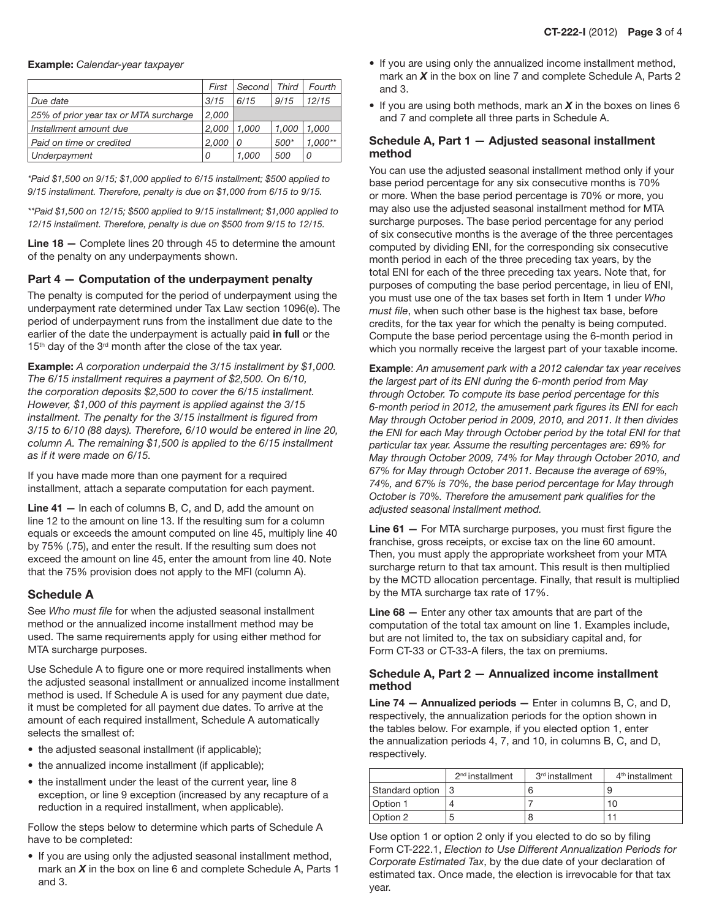|                                        | First | Second | Third  | Fourth    |
|----------------------------------------|-------|--------|--------|-----------|
| Due date                               | 3/15  | 6/15   | 9/15   | 12/15     |
| 25% of prior year tax or MTA surcharge | 2,000 |        |        |           |
| Installment amount due                 | 2.000 | 1.000  | 1.000  | 1.000     |
| Paid on time or credited               | 2.000 | 0      | $500*$ | $1.000**$ |
| Underpayment                           | 0     | 1.000  | 500    | 0         |

*\*Paid \$1,500 on 9/15; \$1,000 applied to 6/15 installment; \$500 applied to 9/15 installment. Therefore, penalty is due on \$1,000 from 6/15 to 9/15.*

*\*\*Paid \$1,500 on 12/15; \$500 applied to 9/15 installment; \$1,000 applied to 12/15 installment. Therefore, penalty is due on \$500 from 9/15 to 12/15.*

Line 18 - Complete lines 20 through 45 to determine the amount of the penalty on any underpayments shown.

#### Part 4 — Computation of the underpayment penalty

The penalty is computed for the period of underpayment using the underpayment rate determined under Tax Law section 1096(e). The period of underpayment runs from the installment due date to the earlier of the date the underpayment is actually paid in full or the 15<sup>th</sup> day of the 3<sup>rd</sup> month after the close of the tax year.

Example: *A corporation underpaid the 3/15 installment by \$1,000. The 6/15 installment requires a payment of \$2,500. On 6/10, the corporation deposits \$2,500 to cover the 6/15 installment. However, \$1,000 of this payment is applied against the 3/15 installment. The penalty for the 3/15 installment is figured from 3/15 to 6/10 (88 days). Therefore, 6/10 would be entered in line 20, column A. The remaining \$1,500 is applied to the 6/15 installment as if it were made on 6/15.*

If you have made more than one payment for a required installment, attach a separate computation for each payment.

Line 41 — In each of columns B, C, and D, add the amount on line 12 to the amount on line 13. If the resulting sum for a column equals or exceeds the amount computed on line 45, multiply line 40 by 75% (.75), and enter the result. If the resulting sum does not exceed the amount on line 45, enter the amount from line 40. Note that the 75% provision does not apply to the MFI (column A).

### Schedule A

See *Who must file* for when the adjusted seasonal installment method or the annualized income installment method may be used. The same requirements apply for using either method for MTA surcharge purposes.

Use Schedule A to figure one or more required installments when the adjusted seasonal installment or annualized income installment method is used. If Schedule A is used for any payment due date, it must be completed for all payment due dates. To arrive at the amount of each required installment, Schedule A automatically selects the smallest of:

- the adjusted seasonal installment (if applicable);
- the annualized income installment (if applicable);
- the installment under the least of the current year, line 8 exception, or line 9 exception (increased by any recapture of a reduction in a required installment, when applicable).

Follow the steps below to determine which parts of Schedule A have to be completed:

• If you are using only the adjusted seasonal installment method, mark an *X* in the box on line 6 and complete Schedule A, Parts 1 and 3.

- If you are using only the annualized income installment method, mark an *X* in the box on line 7 and complete Schedule A, Parts 2 and 3.
- $\bullet$  If you are using both methods, mark an  $X$  in the boxes on lines 6 and 7 and complete all three parts in Schedule A.

### Schedule A, Part 1 — Adjusted seasonal installment method

You can use the adjusted seasonal installment method only if your base period percentage for any six consecutive months is 70% or more. When the base period percentage is 70% or more, you may also use the adjusted seasonal installment method for MTA surcharge purposes. The base period percentage for any period of six consecutive months is the average of the three percentages computed by dividing ENI, for the corresponding six consecutive month period in each of the three preceding tax years, by the total ENI for each of the three preceding tax years. Note that, for purposes of computing the base period percentage, in lieu of ENI, you must use one of the tax bases set forth in Item 1 under *Who must file*, when such other base is the highest tax base, before credits, for the tax year for which the penalty is being computed. Compute the base period percentage using the 6-month period in which you normally receive the largest part of your taxable income.

Example: *An amusement park with a 2012 calendar tax year receives the largest part of its ENI during the 6-month period from May through October. To compute its base period percentage for this 6-month period in 2012, the amusement park figures its ENI for each May through October period in 2009, 2010, and 2011. It then divides the ENI for each May through October period by the total ENI for that particular tax year. Assume the resulting percentages are: 69% for May through October 2009, 74% for May through October 2010, and 67% for May through October 2011. Because the average of 69%, 74%, and 67% is 70%, the base period percentage for May through October is 70%. Therefore the amusement park qualifies for the adjusted seasonal installment method.*

Line 61 - For MTA surcharge purposes, you must first figure the franchise, gross receipts, or excise tax on the line 60 amount. Then, you must apply the appropriate worksheet from your MTA surcharge return to that tax amount. This result is then multiplied by the MCTD allocation percentage. Finally, that result is multiplied by the MTA surcharge tax rate of 17%.

Line 68 — Enter any other tax amounts that are part of the computation of the total tax amount on line 1. Examples include, but are not limited to, the tax on subsidiary capital and, for Form CT-33 or CT-33-A filers, the tax on premiums.

#### Schedule A, Part 2 — Annualized income installment method

Line 74 — Annualized periods — Enter in columns B, C, and D, respectively, the annualization periods for the option shown in the tables below. For example, if you elected option 1, enter the annualization periods 4, 7, and 10, in columns B, C, and D, respectively.

|                 | $2nd$ installment | 3 <sup>rd</sup> installment | 4 <sup>th</sup> installment |
|-----------------|-------------------|-----------------------------|-----------------------------|
| Standard option |                   |                             |                             |
| Option 1        |                   |                             | 10                          |
| Option 2        |                   |                             |                             |

Use option 1 or option 2 only if you elected to do so by filing Form CT-222.1, *Election to Use Different Annualization Periods for Corporate Estimated Tax*, by the due date of your declaration of estimated tax. Once made, the election is irrevocable for that tax year.